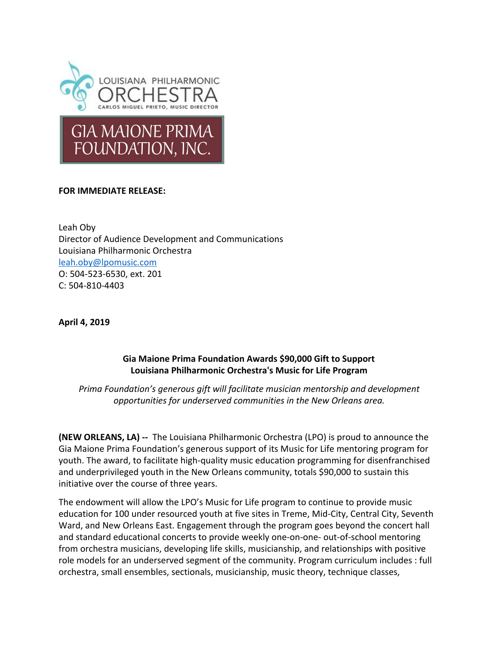

## **FOR IMMEDIATE RELEASE:**

Leah Oby Director of Audience Development and Communications Louisiana Philharmonic Orchestra [leah.oby@lpomusic.com](mailto:leah.oby@lpomusic.com) O: 504-523-6530, ext. 201 C: 504-810-4403

**April 4, 2019**

## **Gia Maione Prima Foundation Awards \$90,000 Gift to Support Louisiana Philharmonic Orchestra's Music for Life Program**

*Prima Foundation's generous gift will facilitate musician mentorship and development opportunities for underserved communities in the New Orleans area.*

**(NEW ORLEANS, LA) --** The Louisiana Philharmonic Orchestra (LPO) is proud to announce the Gia Maione Prima Foundation's generous support of its Music for Life mentoring program for youth. The award, to facilitate high-quality music education programming for disenfranchised and underprivileged youth in the New Orleans community, totals \$90,000 to sustain this initiative over the course of three years.

The endowment will allow the LPO's Music for Life program to continue to provide music education for 100 under resourced youth at five sites in Treme, Mid-City, Central City, Seventh Ward, and New Orleans East. Engagement through the program goes beyond the concert hall and standard educational concerts to provide weekly one-on-one- out-of-school mentoring from orchestra musicians, developing life skills, musicianship, and relationships with positive role models for an underserved segment of the community. Program curriculum includes : full orchestra, small ensembles, sectionals, musicianship, music theory, technique classes,